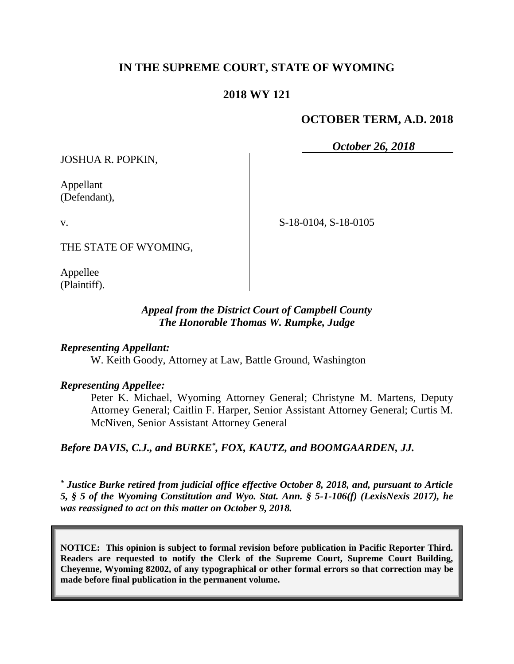# **IN THE SUPREME COURT, STATE OF WYOMING**

## **2018 WY 121**

## **OCTOBER TERM, A.D. 2018**

*October 26, 2018*

JOSHUA R. POPKIN,

Appellant (Defendant),

v.

THE STATE OF WYOMING,

Appellee (Plaintiff).

### *Appeal from the District Court of Campbell County The Honorable Thomas W. Rumpke, Judge*

## *Representing Appellant:*

W. Keith Goody, Attorney at Law, Battle Ground, Washington

#### *Representing Appellee:*

Peter K. Michael, Wyoming Attorney General; Christyne M. Martens, Deputy Attorney General; Caitlin F. Harper, Senior Assistant Attorney General; Curtis M. McNiven, Senior Assistant Attorney General

*Before DAVIS, C.J., and BURKE\* , FOX, KAUTZ, and BOOMGAARDEN, JJ.*

*\* Justice Burke retired from judicial office effective October 8, 2018, and, pursuant to Article 5, § 5 of the Wyoming Constitution and Wyo. Stat. Ann. § 5-1-106(f) (LexisNexis 2017), he was reassigned to act on this matter on October 9, 2018.*

**NOTICE: This opinion is subject to formal revision before publication in Pacific Reporter Third. Readers are requested to notify the Clerk of the Supreme Court, Supreme Court Building, Cheyenne, Wyoming 82002, of any typographical or other formal errors so that correction may be made before final publication in the permanent volume.**

S-18-0104, S-18-0105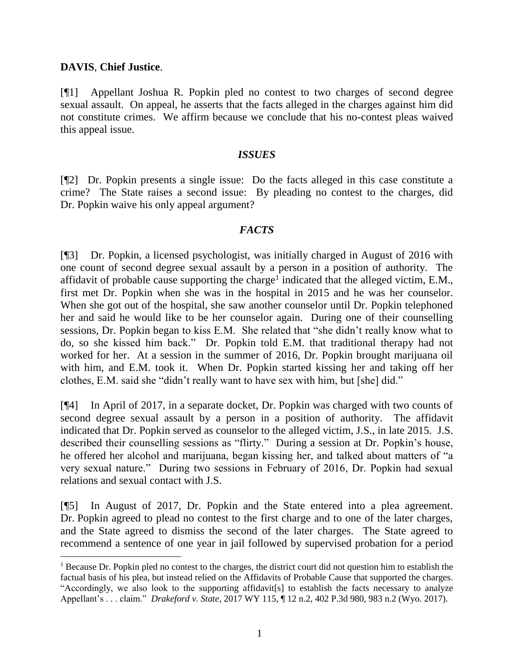## **DAVIS**, **Chief Justice**.

[¶1] Appellant Joshua R. Popkin pled no contest to two charges of second degree sexual assault. On appeal, he asserts that the facts alleged in the charges against him did not constitute crimes. We affirm because we conclude that his no-contest pleas waived this appeal issue.

#### *ISSUES*

[¶2] Dr. Popkin presents a single issue: Do the facts alleged in this case constitute a crime? The State raises a second issue: By pleading no contest to the charges, did Dr. Popkin waive his only appeal argument?

### *FACTS*

[¶3] Dr. Popkin, a licensed psychologist, was initially charged in August of 2016 with one count of second degree sexual assault by a person in a position of authority. The affidavit of probable cause supporting the charge<sup>1</sup> indicated that the alleged victim, E.M., first met Dr. Popkin when she was in the hospital in 2015 and he was her counselor. When she got out of the hospital, she saw another counselor until Dr. Popkin telephoned her and said he would like to be her counselor again. During one of their counselling sessions, Dr. Popkin began to kiss E.M. She related that "she didn't really know what to do, so she kissed him back." Dr. Popkin told E.M. that traditional therapy had not worked for her. At a session in the summer of 2016, Dr. Popkin brought marijuana oil with him, and E.M. took it. When Dr. Popkin started kissing her and taking off her clothes, E.M. said she "didn't really want to have sex with him, but [she] did."

[¶4] In April of 2017, in a separate docket, Dr. Popkin was charged with two counts of second degree sexual assault by a person in a position of authority. The affidavit indicated that Dr. Popkin served as counselor to the alleged victim, J.S., in late 2015. J.S. described their counselling sessions as "flirty." During a session at Dr. Popkin's house, he offered her alcohol and marijuana, began kissing her, and talked about matters of "a very sexual nature." During two sessions in February of 2016, Dr. Popkin had sexual relations and sexual contact with J.S.

[¶5] In August of 2017, Dr. Popkin and the State entered into a plea agreement. Dr. Popkin agreed to plead no contest to the first charge and to one of the later charges, and the State agreed to dismiss the second of the later charges. The State agreed to recommend a sentence of one year in jail followed by supervised probation for a period

<sup>&</sup>lt;sup>1</sup> Because Dr. Popkin pled no contest to the charges, the district court did not question him to establish the factual basis of his plea, but instead relied on the Affidavits of Probable Cause that supported the charges. "Accordingly, we also look to the supporting affidavit[s] to establish the facts necessary to analyze Appellant's . . . claim." *Drakeford v. State*, 2017 WY 115, ¶ 12 n.2, 402 P.3d 980, 983 n.2 (Wyo. 2017).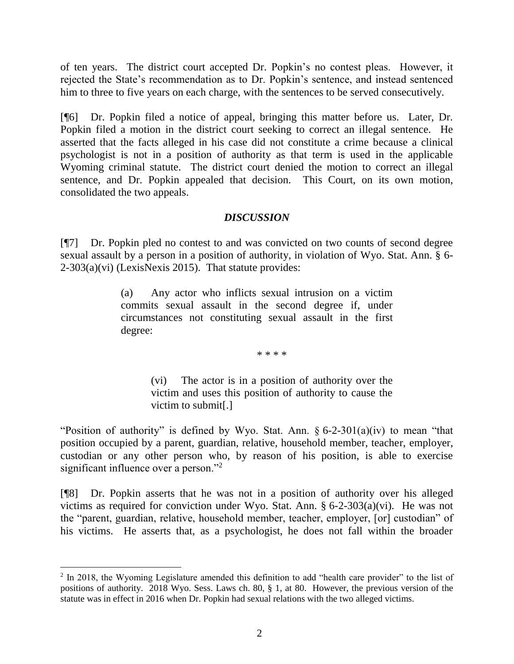of ten years. The district court accepted Dr. Popkin's no contest pleas. However, it rejected the State's recommendation as to Dr. Popkin's sentence, and instead sentenced him to three to five years on each charge, with the sentences to be served consecutively.

[¶6] Dr. Popkin filed a notice of appeal, bringing this matter before us. Later, Dr. Popkin filed a motion in the district court seeking to correct an illegal sentence. He asserted that the facts alleged in his case did not constitute a crime because a clinical psychologist is not in a position of authority as that term is used in the applicable Wyoming criminal statute. The district court denied the motion to correct an illegal sentence, and Dr. Popkin appealed that decision. This Court, on its own motion, consolidated the two appeals.

## *DISCUSSION*

[¶7] Dr. Popkin pled no contest to and was convicted on two counts of second degree sexual assault by a person in a position of authority, in violation of Wyo. Stat. Ann. § 6- 2-303(a)(vi) (LexisNexis 2015). That statute provides:

> (a) Any actor who inflicts sexual intrusion on a victim commits sexual assault in the second degree if, under circumstances not constituting sexual assault in the first degree:

> > \* \* \* \*

(vi) The actor is in a position of authority over the victim and uses this position of authority to cause the victim to submit[.]

"Position of authority" is defined by Wyo. Stat. Ann.  $\S 6$ -2-301(a)(iv) to mean "that position occupied by a parent, guardian, relative, household member, teacher, employer, custodian or any other person who, by reason of his position, is able to exercise significant influence over a person."<sup>2</sup>

[¶8] Dr. Popkin asserts that he was not in a position of authority over his alleged victims as required for conviction under Wyo. Stat. Ann. § 6-2-303(a)(vi). He was not the "parent, guardian, relative, household member, teacher, employer, [or] custodian" of his victims. He asserts that, as a psychologist, he does not fall within the broader

 <sup>2</sup> In 2018, the Wyoming Legislature amended this definition to add "health care provider" to the list of positions of authority. 2018 Wyo. Sess. Laws ch. 80, § 1, at 80. However, the previous version of the statute was in effect in 2016 when Dr. Popkin had sexual relations with the two alleged victims.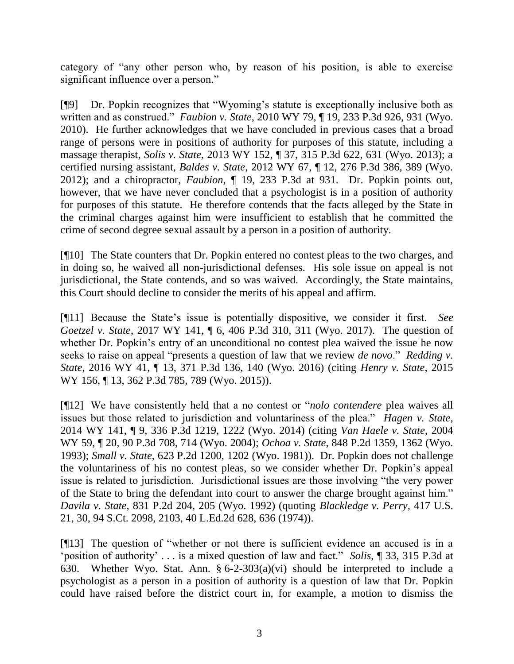category of "any other person who, by reason of his position, is able to exercise significant influence over a person."

[¶9] Dr. Popkin recognizes that "Wyoming's statute is exceptionally inclusive both as written and as construed." *Faubion v. State*, 2010 WY 79, ¶ 19, 233 P.3d 926, 931 (Wyo. 2010). He further acknowledges that we have concluded in previous cases that a broad range of persons were in positions of authority for purposes of this statute, including a massage therapist, *Solis v. State*, 2013 WY 152, ¶ 37, 315 P.3d 622, 631 (Wyo. 2013); a certified nursing assistant, *Baldes v. State*, 2012 WY 67, ¶ 12, 276 P.3d 386, 389 (Wyo. 2012); and a chiropractor, *Faubion*, ¶ 19, 233 P.3d at 931. Dr. Popkin points out, however, that we have never concluded that a psychologist is in a position of authority for purposes of this statute. He therefore contends that the facts alleged by the State in the criminal charges against him were insufficient to establish that he committed the crime of second degree sexual assault by a person in a position of authority.

[¶10] The State counters that Dr. Popkin entered no contest pleas to the two charges, and in doing so, he waived all non-jurisdictional defenses. His sole issue on appeal is not jurisdictional, the State contends, and so was waived. Accordingly, the State maintains, this Court should decline to consider the merits of his appeal and affirm.

[¶11] Because the State's issue is potentially dispositive, we consider it first. *See Goetzel v. State*, 2017 WY 141, ¶ 6, 406 P.3d 310, 311 (Wyo. 2017). The question of whether Dr. Popkin's entry of an unconditional no contest plea waived the issue he now seeks to raise on appeal "presents a question of law that we review *de novo*." *Redding v. State*, 2016 WY 41, ¶ 13, 371 P.3d 136, 140 (Wyo. 2016) (citing *Henry v. State*, 2015 WY 156, ¶ 13, 362 P.3d 785, 789 (Wyo. 2015)).

[¶12] We have consistently held that a no contest or "*nolo contendere* plea waives all issues but those related to jurisdiction and voluntariness of the plea." *Hagen v. State*, 2014 WY 141, ¶ 9, 336 P.3d 1219, 1222 (Wyo. 2014) (citing *Van Haele v. State*, 2004 WY 59, ¶ 20, 90 P.3d 708, 714 (Wyo. 2004); *Ochoa v. State*, 848 P.2d 1359, 1362 (Wyo. 1993); *Small v. State*, 623 P.2d 1200, 1202 (Wyo. 1981)). Dr. Popkin does not challenge the voluntariness of his no contest pleas, so we consider whether Dr. Popkin's appeal issue is related to jurisdiction. Jurisdictional issues are those involving "the very power of the State to bring the defendant into court to answer the charge brought against him." *Davila v. State*, 831 P.2d 204, 205 (Wyo. 1992) (quoting *Blackledge v. Perry,* 417 U.S. 21, 30, 94 S.Ct. 2098, 2103, 40 L.Ed.2d 628, 636 (1974)).

[¶13] The question of "whether or not there is sufficient evidence an accused is in a 'position of authority' . . . is a mixed question of law and fact." *Solis*, ¶ 33, 315 P.3d at 630. Whether Wyo. Stat. Ann. § 6-2-303(a)(vi) should be interpreted to include a psychologist as a person in a position of authority is a question of law that Dr. Popkin could have raised before the district court in, for example, a motion to dismiss the